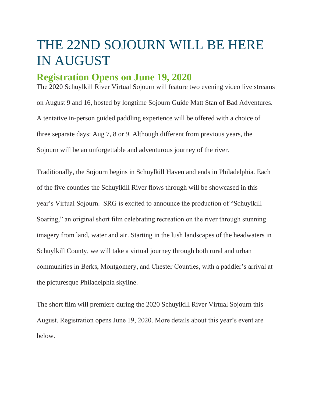# THE 22ND SOJOURN WILL BE HERE IN AUGUST

## **Registration Opens on June 19, 2020**

The 2020 Schuylkill River Virtual Sojourn will feature two evening video live streams on August 9 and 16, hosted by longtime Sojourn Guide Matt Stan of Bad Adventures. A tentative in-person guided paddling experience will be offered with a choice of three separate days: Aug 7, 8 or 9. Although different from previous years, the Sojourn will be an unforgettable and adventurous journey of the river.

Traditionally, the Sojourn begins in Schuylkill Haven and ends in Philadelphia. Each of the five counties the Schuylkill River flows through will be showcased in this year's Virtual Sojourn. SRG is excited to announce the production of "Schuylkill Soaring," an original short film celebrating recreation on the river through stunning imagery from land, water and air. Starting in the lush landscapes of the headwaters in Schuylkill County, we will take a virtual journey through both rural and urban communities in Berks, Montgomery, and Chester Counties, with a paddler's arrival at the picturesque Philadelphia skyline.

The short film will premiere during the 2020 Schuylkill River Virtual Sojourn this August. Registration opens June 19, 2020. More details about this year's event are below.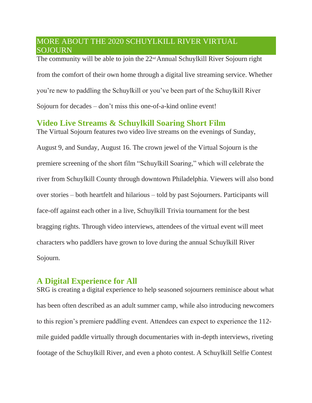#### MORE ABOUT THE 2020 SCHUYLKILL RIVER VIRTUAL SOJOURN

The community will be able to join the  $22<sup>nd</sup>$  Annual Schuylkill River Sojourn right from the comfort of their own home through a digital live streaming service. Whether you're new to paddling the Schuylkill or you've been part of the Schuylkill River Sojourn for decades – don't miss this one-of-a-kind online event!

## **Video Live Streams & Schuylkill Soaring Short Film**

The Virtual Sojourn features two video live streams on the evenings of Sunday, August 9, and Sunday, August 16. The crown jewel of the Virtual Sojourn is the premiere screening of the short film "Schuylkill Soaring," which will celebrate the river from Schuylkill County through downtown Philadelphia. Viewers will also bond over stories – both heartfelt and hilarious – told by past Sojourners. Participants will face-off against each other in a live, Schuylkill Trivia tournament for the best bragging rights. Through video interviews, attendees of the virtual event will meet characters who paddlers have grown to love during the annual Schuylkill River Sojourn.

## **A Digital Experience for All**

SRG is creating a digital experience to help seasoned sojourners reminisce about what has been often described as an adult summer camp, while also introducing newcomers to this region's premiere paddling event. Attendees can expect to experience the 112 mile guided paddle virtually through documentaries with in-depth interviews, riveting footage of the Schuylkill River, and even a photo contest. A Schuylkill Selfie Contest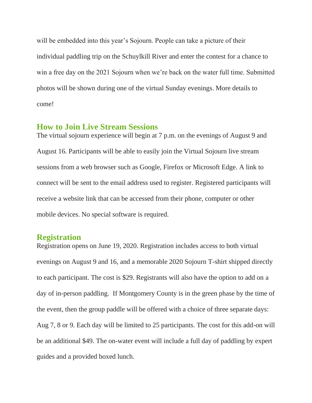will be embedded into this year's Sojourn. People can take a picture of their individual paddling trip on the Schuylkill River and enter the contest for a chance to win a free day on the 2021 Sojourn when we're back on the water full time. Submitted photos will be shown during one of the virtual Sunday evenings. More details to come!

#### **How to Join Live Stream Sessions**

The virtual sojourn experience will begin at 7 p.m. on the evenings of August 9 and August 16. Participants will be able to easily join the Virtual Sojourn live stream sessions from a web browser such as Google, Firefox or Microsoft Edge. A link to connect will be sent to the email address used to register. Registered participants will receive a website link that can be accessed from their phone, computer or other mobile devices. No special software is required.

#### **Registration**

Registration opens on June 19, 2020. Registration includes access to both virtual evenings on August 9 and 16, and a memorable 2020 Sojourn T-shirt shipped directly to each participant. The cost is \$29. Registrants will also have the option to add on a day of in-person paddling. If Montgomery County is in the green phase by the time of the event, then the group paddle will be offered with a choice of three separate days: Aug 7, 8 or 9. Each day will be limited to 25 participants. The cost for this add-on will be an additional \$49. The on-water event will include a full day of paddling by expert guides and a provided boxed lunch.